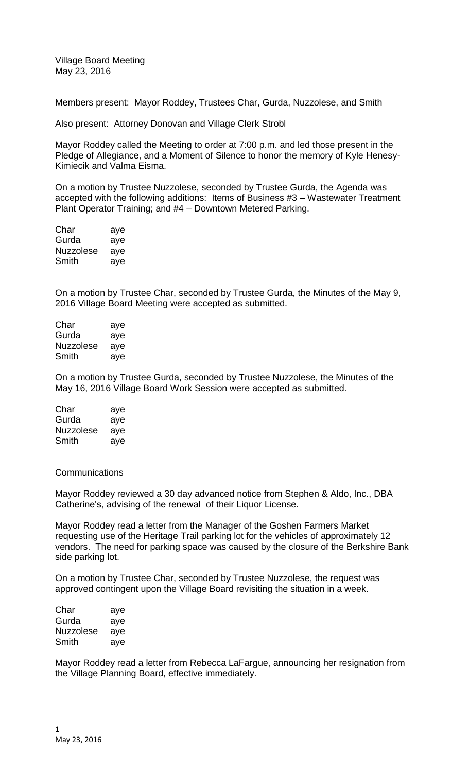Village Board Meeting May 23, 2016

Members present: Mayor Roddey, Trustees Char, Gurda, Nuzzolese, and Smith

Also present: Attorney Donovan and Village Clerk Strobl

Mayor Roddey called the Meeting to order at 7:00 p.m. and led those present in the Pledge of Allegiance, and a Moment of Silence to honor the memory of Kyle Henesy-Kimiecik and Valma Eisma.

On a motion by Trustee Nuzzolese, seconded by Trustee Gurda, the Agenda was accepted with the following additions: Items of Business #3 – Wastewater Treatment Plant Operator Training; and #4 – Downtown Metered Parking.

| Char             | aye |
|------------------|-----|
| Gurda            | aye |
| <b>Nuzzolese</b> | aye |
| Smith            | aye |

On a motion by Trustee Char, seconded by Trustee Gurda, the Minutes of the May 9, 2016 Village Board Meeting were accepted as submitted.

| Char             | aye |
|------------------|-----|
| Gurda            | aye |
| <b>Nuzzolese</b> | aye |
| Smith            | ave |

On a motion by Trustee Gurda, seconded by Trustee Nuzzolese, the Minutes of the May 16, 2016 Village Board Work Session were accepted as submitted.

| Char      | aye |
|-----------|-----|
| Gurda     | aye |
| Nuzzolese | aye |
| Smith     | aye |

**Communications** 

Mayor Roddey reviewed a 30 day advanced notice from Stephen & Aldo, Inc., DBA Catherine's, advising of the renewal of their Liquor License.

Mayor Roddey read a letter from the Manager of the Goshen Farmers Market requesting use of the Heritage Trail parking lot for the vehicles of approximately 12 vendors. The need for parking space was caused by the closure of the Berkshire Bank side parking lot.

On a motion by Trustee Char, seconded by Trustee Nuzzolese, the request was approved contingent upon the Village Board revisiting the situation in a week.

| Char      | aye |
|-----------|-----|
| Gurda     | aye |
| Nuzzolese | aye |
| Smith     | aye |

Mayor Roddey read a letter from Rebecca LaFargue, announcing her resignation from the Village Planning Board, effective immediately.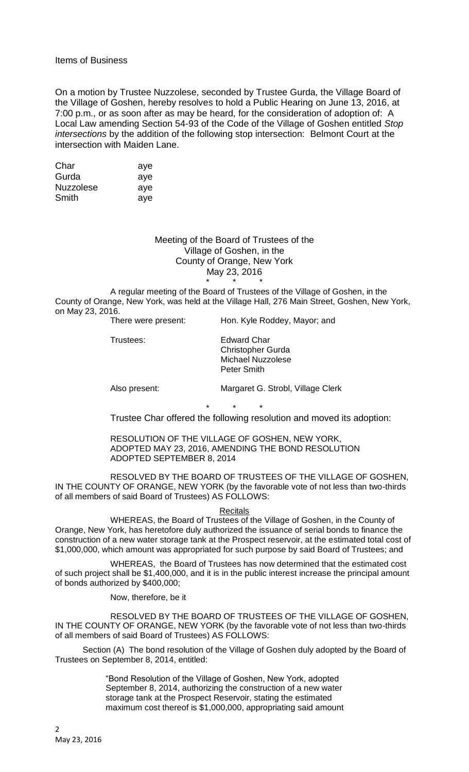## Items of Business

On a motion by Trustee Nuzzolese, seconded by Trustee Gurda, the Village Board of the Village of Goshen, hereby resolves to hold a Public Hearing on June 13, 2016, at 7:00 p.m., or as soon after as may be heard, for the consideration of adoption of: A Local Law amending Section 54-93 of the Code of the Village of Goshen entitled *Stop intersections* by the addition of the following stop intersection: Belmont Court at the intersection with Maiden Lane.

| Char             | aye |
|------------------|-----|
| Gurda            | aye |
| <b>Nuzzolese</b> | aye |
| Smith            | ave |

Meeting of the Board of Trustees of the Village of Goshen, in the County of Orange, New York May 23, 2016

\* \* \* A regular meeting of the Board of Trustees of the Village of Goshen, in the County of Orange, New York, was held at the Village Hall, 276 Main Street, Goshen, New York, on May 23, 2016.

| There were present: | Hon. Kyle Roddey, Mayor; and                                                |
|---------------------|-----------------------------------------------------------------------------|
| Trustees:           | Edward Char<br><b>Christopher Gurda</b><br>Michael Nuzzolese<br>Peter Smith |
| Also present:       | Margaret G. Strobl, Village Clerk                                           |

Trustee Char offered the following resolution and moved its adoption:

RESOLUTION OF THE VILLAGE OF GOSHEN, NEW YORK, ADOPTED MAY 23, 2016, AMENDING THE BOND RESOLUTION ADOPTED SEPTEMBER 8, 2014

\* \* \*

RESOLVED BY THE BOARD OF TRUSTEES OF THE VILLAGE OF GOSHEN, IN THE COUNTY OF ORANGE, NEW YORK (by the favorable vote of not less than two-thirds of all members of said Board of Trustees) AS FOLLOWS:

## **Recitals**

WHEREAS, the Board of Trustees of the Village of Goshen, in the County of Orange, New York, has heretofore duly authorized the issuance of serial bonds to finance the construction of a new water storage tank at the Prospect reservoir, at the estimated total cost of \$1,000,000, which amount was appropriated for such purpose by said Board of Trustees; and

WHEREAS, the Board of Trustees has now determined that the estimated cost of such project shall be \$1,400,000, and it is in the public interest increase the principal amount of bonds authorized by \$400,000;

Now, therefore, be it

RESOLVED BY THE BOARD OF TRUSTEES OF THE VILLAGE OF GOSHEN, IN THE COUNTY OF ORANGE, NEW YORK (by the favorable vote of not less than two-thirds of all members of said Board of Trustees) AS FOLLOWS:

Section (A) The bond resolution of the Village of Goshen duly adopted by the Board of Trustees on September 8, 2014, entitled:

> "Bond Resolution of the Village of Goshen, New York, adopted September 8, 2014, authorizing the construction of a new water storage tank at the Prospect Reservoir, stating the estimated maximum cost thereof is \$1,000,000, appropriating said amount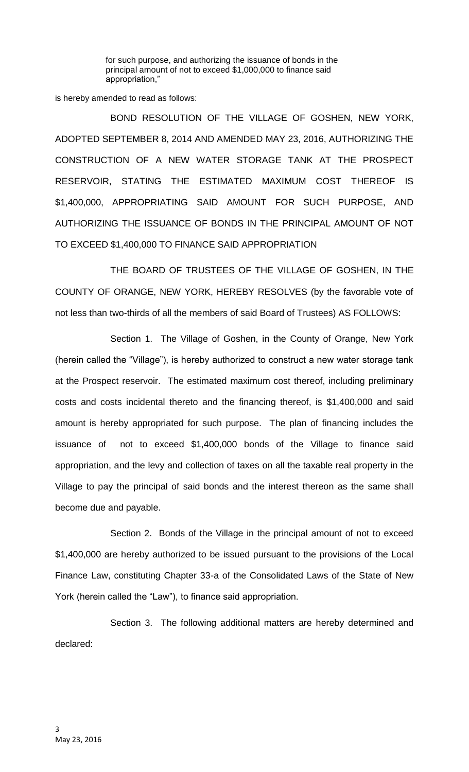for such purpose, and authorizing the issuance of bonds in the principal amount of not to exceed \$1,000,000 to finance said appropriation,"

is hereby amended to read as follows:

BOND RESOLUTION OF THE VILLAGE OF GOSHEN, NEW YORK, ADOPTED SEPTEMBER 8, 2014 AND AMENDED MAY 23, 2016, AUTHORIZING THE CONSTRUCTION OF A NEW WATER STORAGE TANK AT THE PROSPECT RESERVOIR, STATING THE ESTIMATED MAXIMUM COST THEREOF IS \$1,400,000, APPROPRIATING SAID AMOUNT FOR SUCH PURPOSE, AND AUTHORIZING THE ISSUANCE OF BONDS IN THE PRINCIPAL AMOUNT OF NOT TO EXCEED \$1,400,000 TO FINANCE SAID APPROPRIATION

THE BOARD OF TRUSTEES OF THE VILLAGE OF GOSHEN, IN THE COUNTY OF ORANGE, NEW YORK, HEREBY RESOLVES (by the favorable vote of not less than two-thirds of all the members of said Board of Trustees) AS FOLLOWS:

Section 1. The Village of Goshen, in the County of Orange, New York (herein called the "Village"), is hereby authorized to construct a new water storage tank at the Prospect reservoir. The estimated maximum cost thereof, including preliminary costs and costs incidental thereto and the financing thereof, is \$1,400,000 and said amount is hereby appropriated for such purpose. The plan of financing includes the issuance of not to exceed \$1,400,000 bonds of the Village to finance said appropriation, and the levy and collection of taxes on all the taxable real property in the Village to pay the principal of said bonds and the interest thereon as the same shall become due and payable.

Section 2. Bonds of the Village in the principal amount of not to exceed \$1,400,000 are hereby authorized to be issued pursuant to the provisions of the Local Finance Law, constituting Chapter 33-a of the Consolidated Laws of the State of New York (herein called the "Law"), to finance said appropriation.

Section 3. The following additional matters are hereby determined and declared: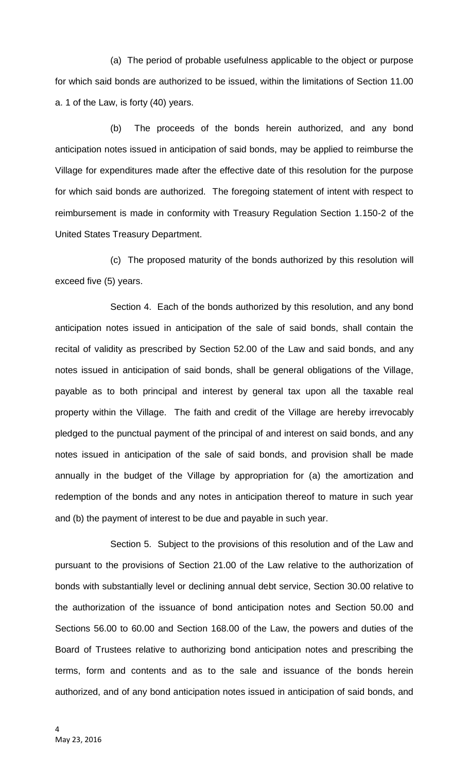(a) The period of probable usefulness applicable to the object or purpose for which said bonds are authorized to be issued, within the limitations of Section 11.00 a. 1 of the Law, is forty (40) years.

(b) The proceeds of the bonds herein authorized, and any bond anticipation notes issued in anticipation of said bonds, may be applied to reimburse the Village for expenditures made after the effective date of this resolution for the purpose for which said bonds are authorized. The foregoing statement of intent with respect to reimbursement is made in conformity with Treasury Regulation Section 1.150-2 of the United States Treasury Department.

(c) The proposed maturity of the bonds authorized by this resolution will exceed five (5) years.

Section 4. Each of the bonds authorized by this resolution, and any bond anticipation notes issued in anticipation of the sale of said bonds, shall contain the recital of validity as prescribed by Section 52.00 of the Law and said bonds, and any notes issued in anticipation of said bonds, shall be general obligations of the Village, payable as to both principal and interest by general tax upon all the taxable real property within the Village. The faith and credit of the Village are hereby irrevocably pledged to the punctual payment of the principal of and interest on said bonds, and any notes issued in anticipation of the sale of said bonds, and provision shall be made annually in the budget of the Village by appropriation for (a) the amortization and redemption of the bonds and any notes in anticipation thereof to mature in such year and (b) the payment of interest to be due and payable in such year.

Section 5. Subject to the provisions of this resolution and of the Law and pursuant to the provisions of Section 21.00 of the Law relative to the authorization of bonds with substantially level or declining annual debt service, Section 30.00 relative to the authorization of the issuance of bond anticipation notes and Section 50.00 and Sections 56.00 to 60.00 and Section 168.00 of the Law, the powers and duties of the Board of Trustees relative to authorizing bond anticipation notes and prescribing the terms, form and contents and as to the sale and issuance of the bonds herein authorized, and of any bond anticipation notes issued in anticipation of said bonds, and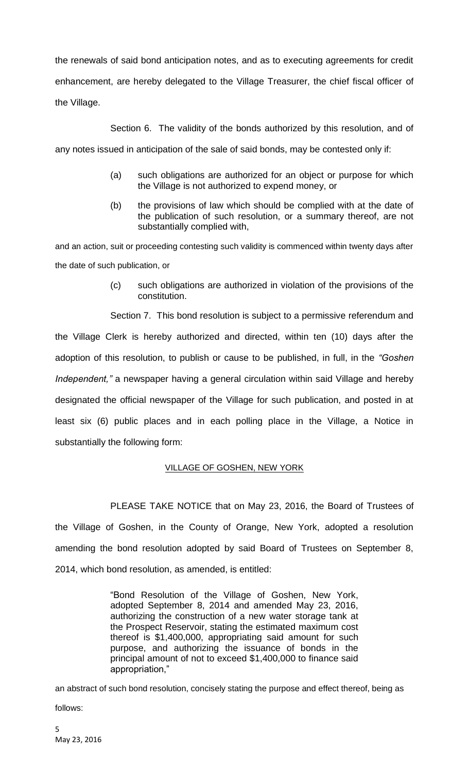the renewals of said bond anticipation notes, and as to executing agreements for credit enhancement, are hereby delegated to the Village Treasurer, the chief fiscal officer of the Village.

Section 6. The validity of the bonds authorized by this resolution, and of

any notes issued in anticipation of the sale of said bonds, may be contested only if:

- (a) such obligations are authorized for an object or purpose for which the Village is not authorized to expend money, or
- (b) the provisions of law which should be complied with at the date of the publication of such resolution, or a summary thereof, are not substantially complied with,

and an action, suit or proceeding contesting such validity is commenced within twenty days after the date of such publication, or

> (c) such obligations are authorized in violation of the provisions of the constitution.

Section 7. This bond resolution is subject to a permissive referendum and the Village Clerk is hereby authorized and directed, within ten (10) days after the adoption of this resolution, to publish or cause to be published, in full, in the *"Goshen Independent,"* a newspaper having a general circulation within said Village and hereby designated the official newspaper of the Village for such publication, and posted in at least six (6) public places and in each polling place in the Village, a Notice in substantially the following form:

## VILLAGE OF GOSHEN, NEW YORK

PLEASE TAKE NOTICE that on May 23, 2016, the Board of Trustees of the Village of Goshen, in the County of Orange, New York, adopted a resolution amending the bond resolution adopted by said Board of Trustees on September 8, 2014, which bond resolution, as amended, is entitled:

> "Bond Resolution of the Village of Goshen, New York, adopted September 8, 2014 and amended May 23, 2016, authorizing the construction of a new water storage tank at the Prospect Reservoir, stating the estimated maximum cost thereof is \$1,400,000, appropriating said amount for such purpose, and authorizing the issuance of bonds in the principal amount of not to exceed \$1,400,000 to finance said appropriation,"

an abstract of such bond resolution, concisely stating the purpose and effect thereof, being as follows: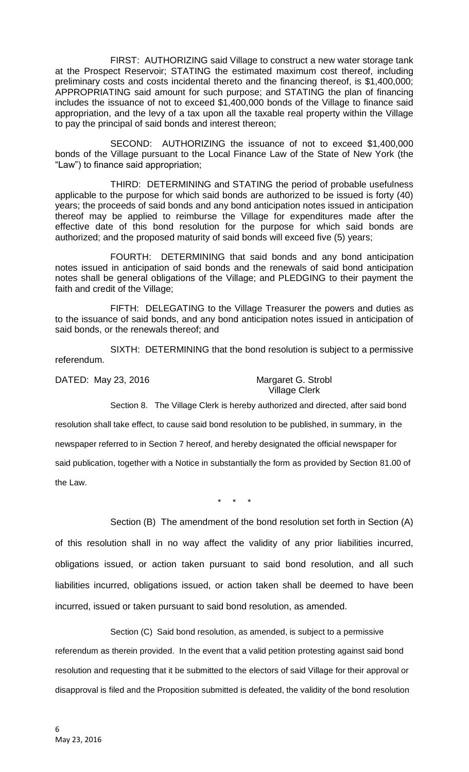FIRST: AUTHORIZING said Village to construct a new water storage tank at the Prospect Reservoir; STATING the estimated maximum cost thereof, including preliminary costs and costs incidental thereto and the financing thereof, is \$1,400,000; APPROPRIATING said amount for such purpose; and STATING the plan of financing includes the issuance of not to exceed \$1,400,000 bonds of the Village to finance said appropriation, and the levy of a tax upon all the taxable real property within the Village to pay the principal of said bonds and interest thereon;

SECOND: AUTHORIZING the issuance of not to exceed \$1,400,000 bonds of the Village pursuant to the Local Finance Law of the State of New York (the "Law") to finance said appropriation;

THIRD: DETERMINING and STATING the period of probable usefulness applicable to the purpose for which said bonds are authorized to be issued is forty (40) years; the proceeds of said bonds and any bond anticipation notes issued in anticipation thereof may be applied to reimburse the Village for expenditures made after the effective date of this bond resolution for the purpose for which said bonds are authorized; and the proposed maturity of said bonds will exceed five (5) years;

FOURTH: DETERMINING that said bonds and any bond anticipation notes issued in anticipation of said bonds and the renewals of said bond anticipation notes shall be general obligations of the Village; and PLEDGING to their payment the faith and credit of the Village;

FIFTH: DELEGATING to the Village Treasurer the powers and duties as to the issuance of said bonds, and any bond anticipation notes issued in anticipation of said bonds, or the renewals thereof; and

SIXTH: DETERMINING that the bond resolution is subject to a permissive referendum.

DATED: May 23, 2016 Margaret G. Strobl

Village Clerk

Section 8. The Village Clerk is hereby authorized and directed, after said bond

resolution shall take effect, to cause said bond resolution to be published, in summary, in the newspaper referred to in Section 7 hereof, and hereby designated the official newspaper for said publication, together with a Notice in substantially the form as provided by Section 81.00 of the Law.

\* \* \*

Section (B) The amendment of the bond resolution set forth in Section (A)

of this resolution shall in no way affect the validity of any prior liabilities incurred, obligations issued, or action taken pursuant to said bond resolution, and all such liabilities incurred, obligations issued, or action taken shall be deemed to have been incurred, issued or taken pursuant to said bond resolution, as amended.

Section (C) Said bond resolution, as amended, is subject to a permissive

referendum as therein provided. In the event that a valid petition protesting against said bond resolution and requesting that it be submitted to the electors of said Village for their approval or disapproval is filed and the Proposition submitted is defeated, the validity of the bond resolution